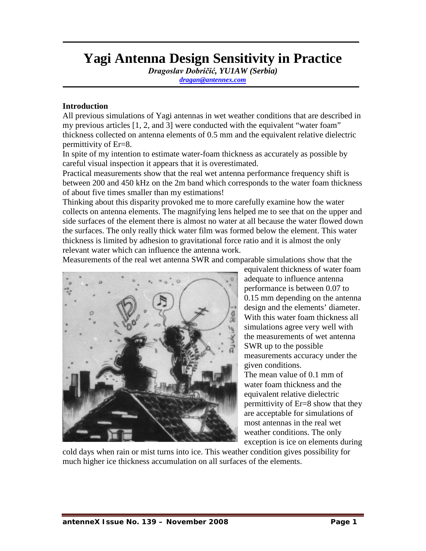# **Yagi Antenna Design Sensitivity in Practice**

*Dragoslav Dobričić, YU1AW (Serbia)*

*[dragan@antennex.com](mailto:dragan@antennex.com)*

#### **Introduction**

All previous simulations of Yagi antennas in wet weather conditions that are described in my previous articles [1, 2, and 3] were conducted with the equivalent "water foam" thickness collected on antenna elements of 0.5 mm and the equivalent relative dielectric permittivity of Er=8.

In spite of my intention to estimate water-foam thickness as accurately as possible by careful visual inspection it appears that it is overestimated.

Practical measurements show that the real wet antenna performance frequency shift is between 200 and 450 kHz on the 2m band which corresponds to the water foam thickness of about five times smaller than my estimations!

Thinking about this disparity provoked me to more carefully examine how the water collects on antenna elements. The magnifying lens helped me to see that on the upper and side surfaces of the element there is almost no water at all because the water flowed down the surfaces. The only really thick water film was formed below the element. This water thickness is limited by adhesion to gravitational force ratio and it is almost the only relevant water which can influence the antenna work.

Measurements of the real wet antenna SWR and comparable simulations show that the



equivalent thickness of water foam adequate to influence antenna performance is between 0.07 to 0.15 mm depending on the antenna design and the elements' diameter. With this water foam thickness all simulations agree very well with the measurements of wet antenna SWR up to the possible measurements accuracy under the given conditions. The mean value of 0.1 mm of water foam thickness and the equivalent relative dielectric permittivity of Er=8 show that they are acceptable for simulations of most antennas in the real wet weather conditions. The only exception is ice on elements during

cold days when rain or mist turns into ice. This weather condition gives possibility for much higher ice thickness accumulation on all surfaces of the elements.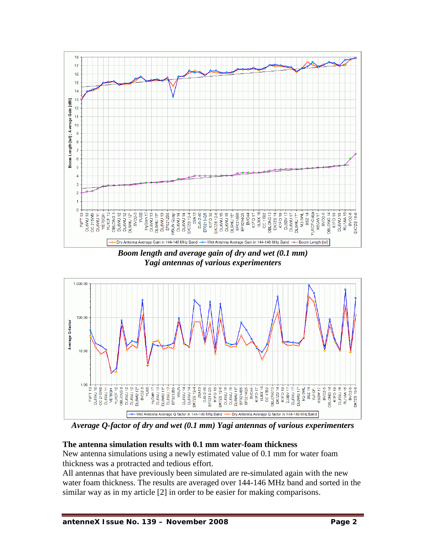

*Boom length and average gain of dry and wet (0.1 mm) Yagi antennas of various experimenters*



*Average Q-factor of dry and wet (0.1 mm) Yagi antennas of various experimenters*

## **The antenna simulation results with 0.1 mm water-foam thickness**

New antenna simulations using a newly estimated value of 0.1 mm for water foam thickness was a protracted and tedious effort.

All antennas that have previously been simulated are re-simulated again with the new water foam thickness. The results are averaged over 144-146 MHz band and sorted in the similar way as in my article [2] in order to be easier for making comparisons.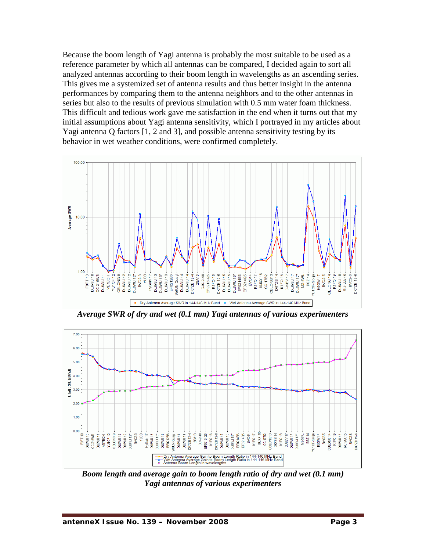Because the boom length of Yagi antenna is probably the most suitable to be used as a reference parameter by which all antennas can be compared, I decided again to sort all analyzed antennas according to their boom length in wavelengths as an ascending series. This gives me a systemized set of antenna results and thus better insight in the antenna performances by comparing them to the antenna neighbors and to the other antennas in series but also to the results of previous simulation with 0.5 mm water foam thickness. This difficult and tedious work gave me satisfaction in the end when it turns out that my initial assumptions about Yagi antenna sensitivity, which I portrayed in my articles about Yagi antenna Q factors [1, 2 and 3], and possible antenna sensitivity testing by its behavior in wet weather conditions, were confirmed completely.



*Average SWR of dry and wet (0.1 mm) Yagi antennas of various experimenters*



*Boom length and average gain to boom length ratio of dry and wet (0.1 mm) Yagi antennas of various experimenters*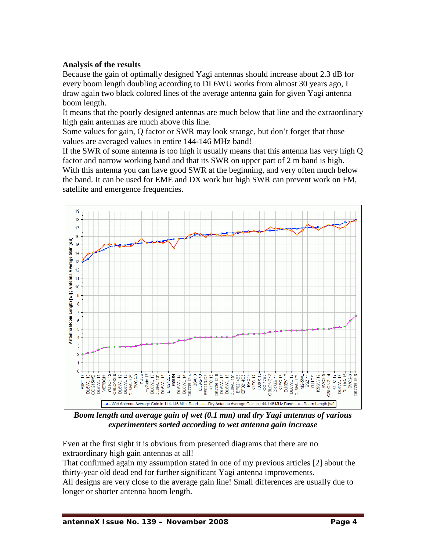## **Analysis of the results**

Because the gain of optimally designed Yagi antennas should increase about 2.3 dB for every boom length doubling according to DL6WU works from almost 30 years ago, I draw again two black colored lines of the average antenna gain for given Yagi antenna boom length.

It means that the poorly designed antennas are much below that line and the extraordinary high gain antennas are much above this line.

Some values for gain, Q factor or SWR may look strange, but don't forget that those values are averaged values in entire 144-146 MHz band!

If the SWR of some antenna is too high it usually means that this antenna has very high Q factor and narrow working band and that its SWR on upper part of 2 m band is high. With this antenna you can have good SWR at the beginning, and very often much below the band. It can be used for EME and DX work but high SWR can prevent work on FM, satellite and emergence frequencies.



*Boom length and average gain of wet (0.1 mm) and dry Yagi antennas of various experimenters sorted according to wet antenna gain increase*

Even at the first sight it is obvious from presented diagrams that there are no extraordinary high gain antennas at all!

That confirmed again my assumption stated in one of my previous articles [2] about the thirty-year old dead end for further significant Yagi antenna improvements.

All designs are very close to the average gain line! Small differences are usually due to longer or shorter antenna boom length.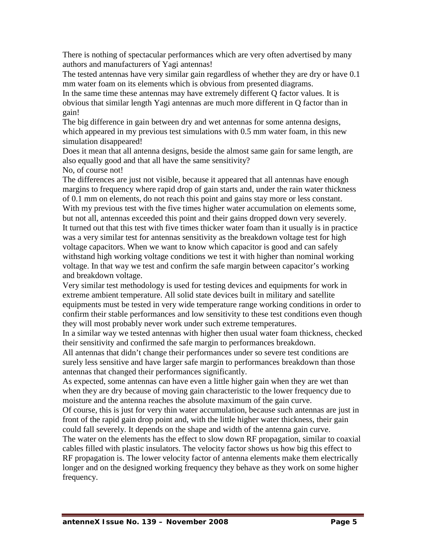There is nothing of spectacular performances which are very often advertised by many authors and manufacturers of Yagi antennas!

The tested antennas have very similar gain regardless of whether they are dry or have 0.1 mm water foam on its elements which is obvious from presented diagrams.

In the same time these antennas may have extremely different Q factor values. It is obvious that similar length Yagi antennas are much more different in Q factor than in gain!

The big difference in gain between dry and wet antennas for some antenna designs, which appeared in my previous test simulations with 0.5 mm water foam, in this new simulation disappeared!

Does it mean that all antenna designs, beside the almost same gain for same length, are also equally good and that all have the same sensitivity?

No, of course not!

The differences are just not visible, because it appeared that all antennas have enough margins to frequency where rapid drop of gain starts and, under the rain water thickness of 0.1 mm on elements, do not reach this point and gains stay more or less constant. With my previous test with the five times higher water accumulation on elements some, but not all, antennas exceeded this point and their gains dropped down very severely. It turned out that this test with five times thicker water foam than it usually is in practice was a very similar test for antennas sensitivity as the breakdown voltage test for high voltage capacitors. When we want to know which capacitor is good and can safely withstand high working voltage conditions we test it with higher than nominal working voltage. In that way we test and confirm the safe margin between capacitor's working and breakdown voltage.

Very similar test methodology is used for testing devices and equipments for work in extreme ambient temperature. All solid state devices built in military and satellite equipments must be tested in very wide temperature range working conditions in order to confirm their stable performances and low sensitivity to these test conditions even though they will most probably never work under such extreme temperatures.

In a similar way we tested antennas with higher then usual water foam thickness, checked their sensitivity and confirmed the safe margin to performances breakdown.

All antennas that didn't change their performances under so severe test conditions are surely less sensitive and have larger safe margin to performances breakdown than those antennas that changed their performances significantly.

As expected, some antennas can have even a little higher gain when they are wet than when they are dry because of moving gain characteristic to the lower frequency due to moisture and the antenna reaches the absolute maximum of the gain curve.

Of course, this is just for very thin water accumulation, because such antennas are just in front of the rapid gain drop point and, with the little higher water thickness, their gain could fall severely. It depends on the shape and width of the antenna gain curve.

The water on the elements has the effect to slow down RF propagation, similar to coaxial cables filled with plastic insulators. The velocity factor shows us how big this effect to RF propagation is. The lower velocity factor of antenna elements make them electrically longer and on the designed working frequency they behave as they work on some higher frequency.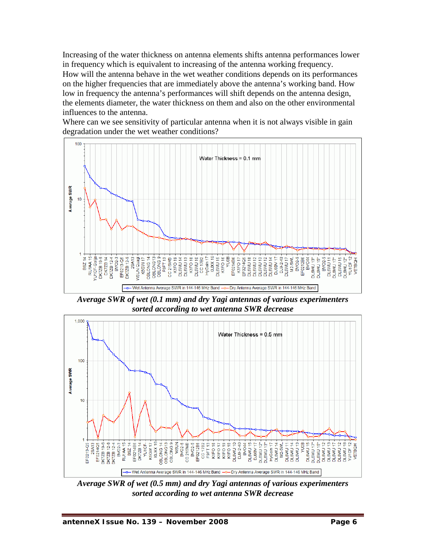Increasing of the water thickness on antenna elements shifts antenna performances lower in frequency which is equivalent to increasing of the antenna working frequency. How will the antenna behave in the wet weather conditions depends on its performances on the higher frequencies that are immediately above the antenna's working band. How low in frequency the antenna's performances will shift depends on the antenna design, the elements diameter, the water thickness on them and also on the other environmental influences to the antenna.

Where can we see sensitivity of particular antenna when it is not always visible in gain degradation under the wet weather conditions?



*Average SWR of wet (0.1 mm) and dry Yagi antennas of various experimenters sorted according to wet antenna SWR decrease*



*Average SWR of wet (0.5 mm) and dry Yagi antennas of various experimenters sorted according to wet antenna SWR decrease*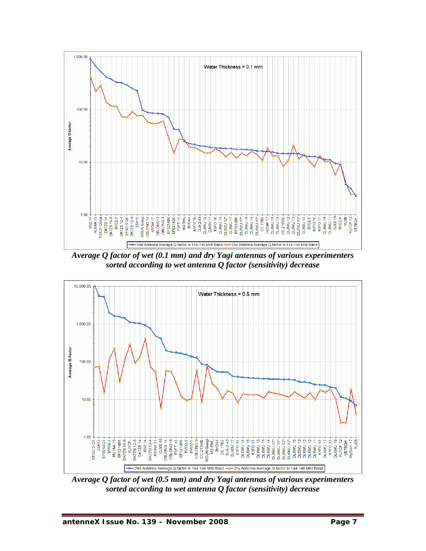

*Average Q factor of wet (0.1 mm) and dry Yagi antennas of various experimenters sorted according to wet antenna Q factor (sensitivity) decrease*



*Average Q factor of wet (0.5 mm) and dry Yagi antennas of various experimenters sorted according to wet antenna Q factor (sensitivity) decrease*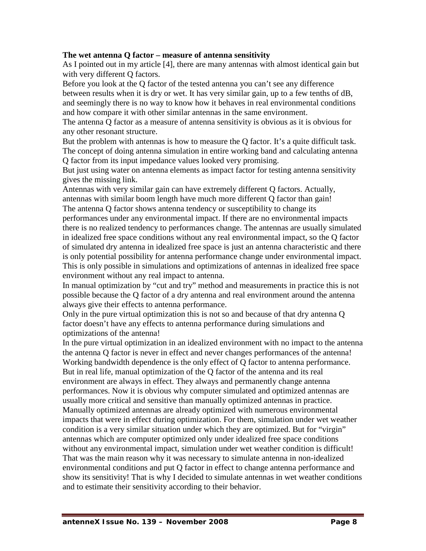#### **The wet antenna Q factor – measure of antenna sensitivity**

As I pointed out in my article [4], there are many antennas with almost identical gain but with very different Q factors.

Before you look at the Q factor of the tested antenna you can't see any difference between results when it is dry or wet. It has very similar gain, up to a few tenths of dB, and seemingly there is no way to know how it behaves in real environmental conditions and how compare it with other similar antennas in the same environment.

The antenna Q factor as a measure of antenna sensitivity is obvious as it is obvious for any other resonant structure.

But the problem with antennas is how to measure the Q factor. It's a quite difficult task. The concept of doing antenna simulation in entire working band and calculating antenna Q factor from its input impedance values looked very promising.

But just using water on antenna elements as impact factor for testing antenna sensitivity gives the missing link.

Antennas with very similar gain can have extremely different Q factors. Actually, antennas with similar boom length have much more different Q factor than gain! The antenna Q factor shows antenna tendency or susceptibility to change its performances under any environmental impact. If there are no environmental impacts

there is no realized tendency to performances change. The antennas are usually simulated in idealized free space conditions without any real environmental impact, so the Q factor of simulated dry antenna in idealized free space is just an antenna characteristic and there is only potential possibility for antenna performance change under environmental impact. This is only possible in simulations and optimizations of antennas in idealized free space environment without any real impact to antenna.

In manual optimization by "cut and try" method and measurements in practice this is not possible because the Q factor of a dry antenna and real environment around the antenna always give their effects to antenna performance.

Only in the pure virtual optimization this is not so and because of that dry antenna Q factor doesn't have any effects to antenna performance during simulations and optimizations of the antenna!

In the pure virtual optimization in an idealized environment with no impact to the antenna the antenna Q factor is never in effect and never changes performances of the antenna! Working bandwidth dependence is the only effect of Q factor to antenna performance. But in real life, manual optimization of the Q factor of the antenna and its real environment are always in effect. They always and permanently change antenna performances. Now it is obvious why computer simulated and optimized antennas are usually more critical and sensitive than manually optimized antennas in practice. Manually optimized antennas are already optimized with numerous environmental impacts that were in effect during optimization. For them, simulation under wet weather condition is a very similar situation under which they are optimized. But for "virgin" antennas which are computer optimized only under idealized free space conditions without any environmental impact, simulation under wet weather condition is difficult! That was the main reason why it was necessary to simulate antenna in non-idealized environmental conditions and put Q factor in effect to change antenna performance and show its sensitivity! That is why I decided to simulate antennas in wet weather conditions and to estimate their sensitivity according to their behavior.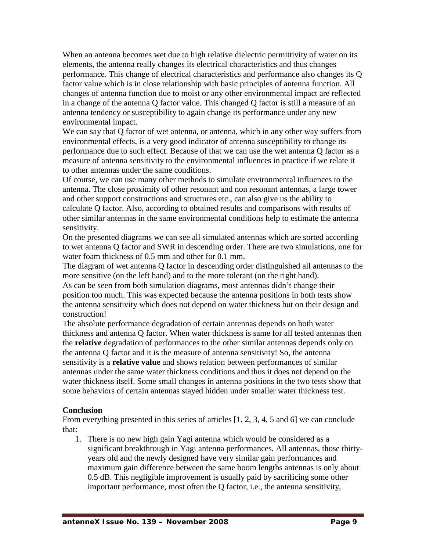When an antenna becomes wet due to high relative dielectric permittivity of water on its elements, the antenna really changes its electrical characteristics and thus changes performance. This change of electrical characteristics and performance also changes its Q factor value which is in close relationship with basic principles of antenna function. All changes of antenna function due to moist or any other environmental impact are reflected in a change of the antenna Q factor value. This changed Q factor is still a measure of an antenna tendency or susceptibility to again change its performance under any new environmental impact.

We can say that Q factor of wet antenna, or antenna, which in any other way suffers from environmental effects, is a very good indicator of antenna susceptibility to change its performance due to such effect. Because of that we can use the wet antenna Q factor as a measure of antenna sensitivity to the environmental influences in practice if we relate it to other antennas under the same conditions.

Of course, we can use many other methods to simulate environmental influences to the antenna. The close proximity of other resonant and non resonant antennas, a large tower and other support constructions and structures etc., can also give us the ability to calculate Q factor. Also, according to obtained results and comparisons with results of other similar antennas in the same environmental conditions help to estimate the antenna sensitivity.

On the presented diagrams we can see all simulated antennas which are sorted according to wet antenna Q factor and SWR in descending order. There are two simulations, one for water foam thickness of 0.5 mm and other for 0.1 mm.

The diagram of wet antenna Q factor in descending order distinguished all antennas to the more sensitive (on the left hand) and to the more tolerant (on the right hand).

As can be seen from both simulation diagrams, most antennas didn't change their position too much. This was expected because the antenna positions in both tests show the antenna sensitivity which does not depend on water thickness but on their design and construction!

The absolute performance degradation of certain antennas depends on both water thickness and antenna Q factor. When water thickness is same for all tested antennas then the **relative** degradation of performances to the other similar antennas depends only on the antenna Q factor and it is the measure of antenna sensitivity! So, the antenna sensitivity is a **relative value** and shows relation between performances of similar antennas under the same water thickness conditions and thus it does not depend on the water thickness itself. Some small changes in antenna positions in the two tests show that some behaviors of certain antennas stayed hidden under smaller water thickness test.

## **Conclusion**

From everything presented in this series of articles [1, 2, 3, 4, 5 and 6] we can conclude that:

1. There is no new high gain Yagi antenna which would be considered as a significant breakthrough in Yagi antenna performances. All antennas, those thirtyyears old and the newly designed have very similar gain performances and maximum gain difference between the same boom lengths antennas is only about 0.5 dB. This negligible improvement is usually paid by sacrificing some other important performance, most often the Q factor, i.e., the antenna sensitivity,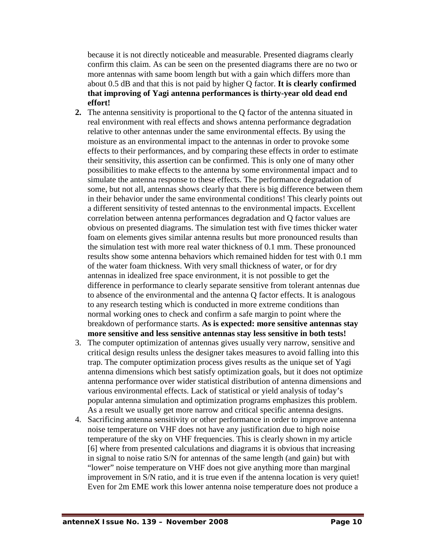because it is not directly noticeable and measurable. Presented diagrams clearly confirm this claim. As can be seen on the presented diagrams there are no two or more antennas with same boom length but with a gain which differs more than about 0.5 dB and that this is not paid by higher Q factor. **It is clearly confirmed that improving of Yagi antenna performances is thirty-year old dead end effort!**

- **2.** The antenna sensitivity is proportional to the Q factor of the antenna situated in real environment with real effects and shows antenna performance degradation relative to other antennas under the same environmental effects. By using the moisture as an environmental impact to the antennas in order to provoke some effects to their performances, and by comparing these effects in order to estimate their sensitivity, this assertion can be confirmed. This is only one of many other possibilities to make effects to the antenna by some environmental impact and to simulate the antenna response to these effects. The performance degradation of some, but not all, antennas shows clearly that there is big difference between them in their behavior under the same environmental conditions! This clearly points out a different sensitivity of tested antennas to the environmental impacts. Excellent correlation between antenna performances degradation and Q factor values are obvious on presented diagrams. The simulation test with five times thicker water foam on elements gives similar antenna results but more pronounced results than the simulation test with more real water thickness of 0.1 mm. These pronounced results show some antenna behaviors which remained hidden for test with 0.1 mm of the water foam thickness. With very small thickness of water, or for dry antennas in idealized free space environment, it is not possible to get the difference in performance to clearly separate sensitive from tolerant antennas due to absence of the environmental and the antenna Q factor effects. It is analogous to any research testing which is conducted in more extreme conditions than normal working ones to check and confirm a safe margin to point where the breakdown of performance starts. **As is expected: more sensitive antennas stay more sensitive and less sensitive antennas stay less sensitive in both tests!**
- 3. The computer optimization of antennas gives usually very narrow, sensitive and critical design results unless the designer takes measures to avoid falling into this trap. The computer optimization process gives results as the unique set of Yagi antenna dimensions which best satisfy optimization goals, but it does not optimize antenna performance over wider statistical distribution of antenna dimensions and various environmental effects. Lack of statistical or yield analysis of today's popular antenna simulation and optimization programs emphasizes this problem. As a result we usually get more narrow and critical specific antenna designs.
- 4. Sacrificing antenna sensitivity or other performance in order to improve antenna noise temperature on VHF does not have any justification due to high noise temperature of the sky on VHF frequencies. This is clearly shown in my article [6] where from presented calculations and diagrams it is obvious that increasing in signal to noise ratio S/N for antennas of the same length (and gain) but with "lower" noise temperature on VHF does not give anything more than marginal improvement in S/N ratio, and it is true even if the antenna location is very quiet! Even for 2m EME work this lower antenna noise temperature does not produce a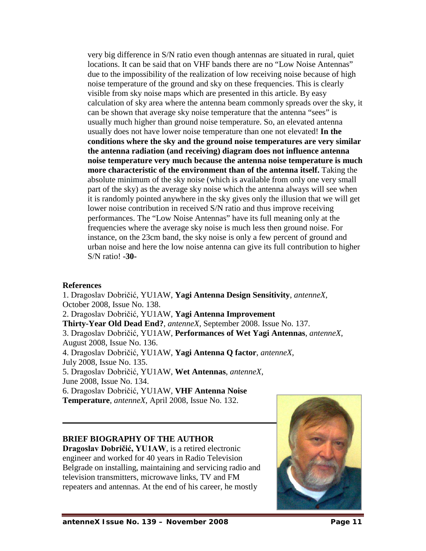very big difference in S/N ratio even though antennas are situated in rural, quiet locations. It can be said that on VHF bands there are no "Low Noise Antennas" due to the impossibility of the realization of low receiving noise because of high noise temperature of the ground and sky on these frequencies. This is clearly visible from sky noise maps which are presented in this article. By easy calculation of sky area where the antenna beam commonly spreads over the sky, it can be shown that average sky noise temperature that the antenna "sees" is usually much higher than ground noise temperature. So, an elevated antenna usually does not have lower noise temperature than one not elevated! **In the conditions where the sky and the ground noise temperatures are very similar the antenna radiation (and receiving) diagram does not influence antenna noise temperature very much because the antenna noise temperature is much more characteristic of the environment than of the antenna itself.** Taking the absolute minimum of the sky noise (which is available from only one very small part of the sky) as the average sky noise which the antenna always will see when it is randomly pointed anywhere in the sky gives only the illusion that we will get lower noise contribution in received S/N ratio and thus improve receiving performances. The "Low Noise Antennas" have its full meaning only at the frequencies where the average sky noise is much less then ground noise. For instance, on the 23cm band, the sky noise is only a few percent of ground and urban noise and here the low noise antenna can give its full contribution to higher S/N ratio! **-30-**

### **References**

1. Dragoslav Dobričić, YU1AW, **Yagi Antenna Design Sensitivity**, *antenneX*, October 2008, Issue No. 138. 2. Dragoslav Dobričić, YU1AW, **Yagi Antenna Improvement Thirty-Year Old Dead End?**, *antenneX*, September 2008. Issue No. 137. 3. Dragoslav Dobričić, YU1AW, **Performances of Wet Yagi Antennas**, *antenneX*, August 2008, Issue No. 136. 4. Dragoslav Dobričić, YU1AW, **Yagi Antenna Q factor**, *antenneX*, July 2008, Issue No. 135. 5. Dragoslav Dobričić, YU1AW, **Wet Antennas**, *antenneX*, June 2008, Issue No. 134. 6. Dragoslav Dobričić, YU1AW, **VHF Antenna Noise Temperature**, *antenneX*, April 2008, Issue No. 132.

## **BRIEF BIOGRAPHY OF THE AUTHOR**

**Dragoslav Dobričić, YU1AW**, is a retired electronic engineer and worked for 40 years in Radio Television Belgrade on installing, maintaining and servicing radio and television transmitters, microwave links, TV and FM repeaters and antennas. At the end of his career, he mostly